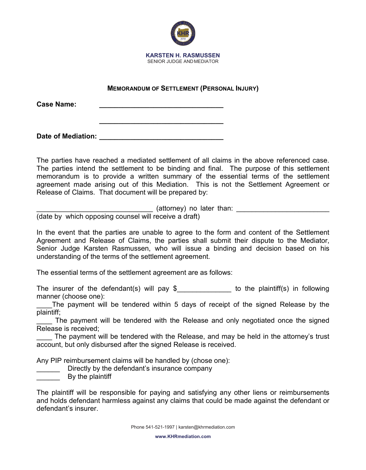

## **MEMORANDUM OF SETTLEMENT (PERSONAL INJURY)**

**\_\_\_\_\_\_\_\_\_\_\_\_\_\_\_\_\_\_\_\_\_\_\_\_\_\_\_\_\_\_\_\_**

**Case Name: \_\_\_\_\_\_\_\_\_\_\_\_\_\_\_\_\_\_\_\_\_\_\_\_\_\_\_\_\_\_\_\_**

**Date of Mediation: \_\_\_\_\_\_\_\_\_\_\_\_\_\_\_\_\_\_\_\_\_\_\_\_\_\_\_\_\_\_\_\_**

The parties have reached a mediated settlement of all claims in the above referenced case. The parties intend the settlement to be binding and final. The purpose of this settlement memorandum is to provide a written summary of the essential terms of the settlement agreement made arising out of this Mediation. This is not the Settlement Agreement or Release of Claims. That document will be prepared by:

 $($ attorney) no later than:  $\Box$ 

(date by which opposing counsel will receive a draft)

In the event that the parties are unable to agree to the form and content of the Settlement Agreement and Release of Claims, the parties shall submit their dispute to the Mediator, Senior Judge Karsten Rasmussen, who will issue a binding and decision based on his understanding of the terms of the settlement agreement.

The essential terms of the settlement agreement are as follows:

The insurer of the defendant(s) will pay  $\frac{1}{2}$  to the plaintiff(s) in following manner (choose one):

The payment will be tendered within 5 days of receipt of the signed Release by the plaintiff;

The payment will be tendered with the Release and only negotiated once the signed Release is received;

The payment will be tendered with the Release, and may be held in the attorney's trust account, but only disbursed after the signed Release is received.

Any PIP reimbursement claims will be handled by (chose one):

Directly by the defendant's insurance company

**EXECUTE:** By the plaintiff

The plaintiff will be responsible for paying and satisfying any other liens or reimbursements and holds defendant harmless against any claims that could be made against the defendant or defendant's insurer.

**www.KHRmediation.com**